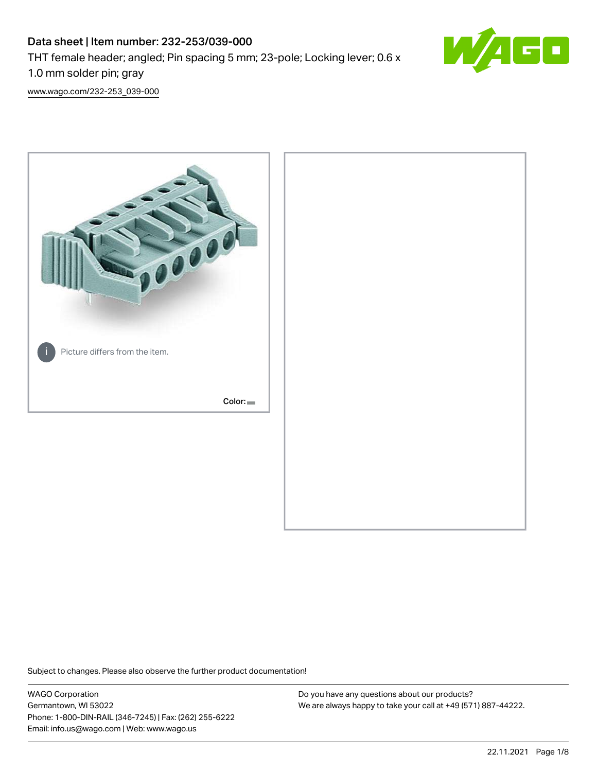# Data sheet | Item number: 232-253/039-000 THT female header; angled; Pin spacing 5 mm; 23-pole; Locking lever; 0.6 x 1.0 mm solder pin; gray



[www.wago.com/232-253\\_039-000](http://www.wago.com/232-253_039-000)



Subject to changes. Please also observe the further product documentation!

WAGO Corporation Germantown, WI 53022 Phone: 1-800-DIN-RAIL (346-7245) | Fax: (262) 255-6222 Email: info.us@wago.com | Web: www.wago.us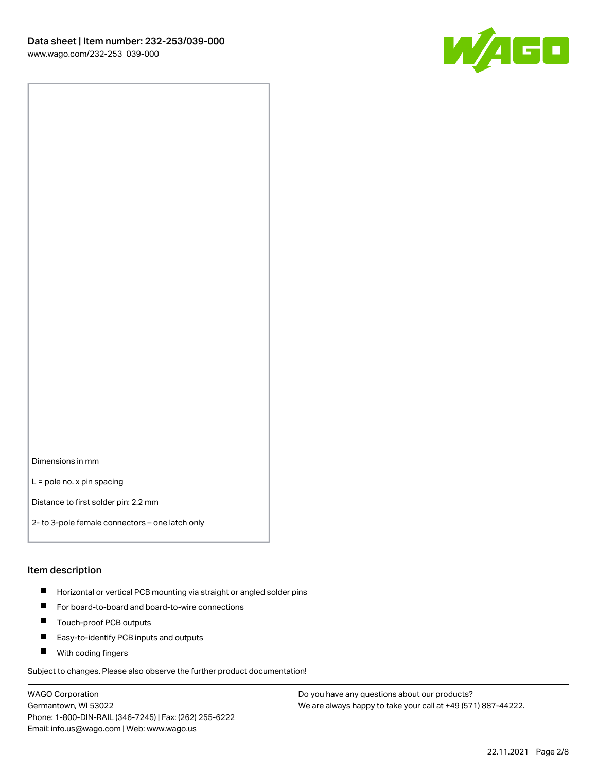

Dimensions in mm

L = pole no. x pin spacing

Distance to first solder pin: 2.2 mm

2- to 3-pole female connectors – one latch only

#### Item description

- **Horizontal or vertical PCB mounting via straight or angled solder pins**
- For board-to-board and board-to-wire connections
- $\blacksquare$ Touch-proof PCB outputs
- $\blacksquare$ Easy-to-identify PCB inputs and outputs
- **Now With coding fingers**

Subject to changes. Please also observe the further product documentation!

WAGO Corporation Germantown, WI 53022 Phone: 1-800-DIN-RAIL (346-7245) | Fax: (262) 255-6222 Email: info.us@wago.com | Web: www.wago.us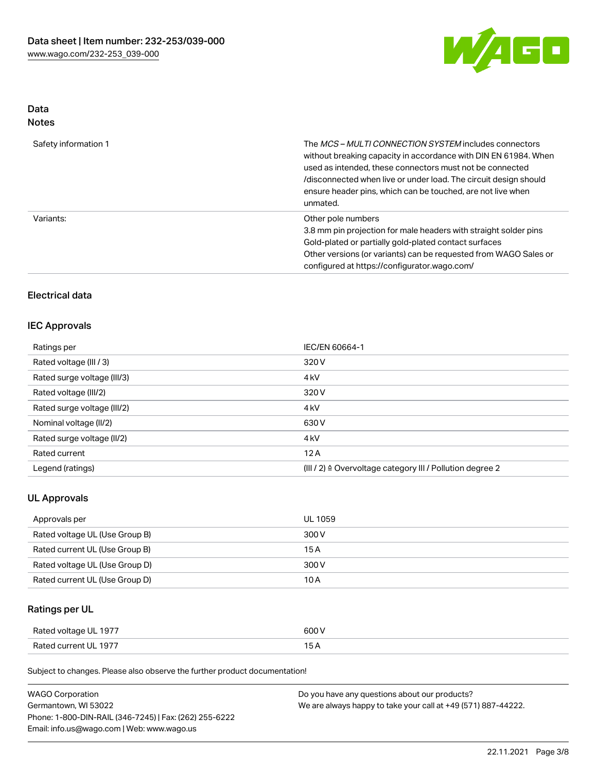

# Data

| Safety information 1 | The <i>MCS – MULTI CONNECTION SYSTEM</i> includes connectors<br>without breaking capacity in accordance with DIN EN 61984. When<br>used as intended, these connectors must not be connected<br>/disconnected when live or under load. The circuit design should<br>ensure header pins, which can be touched, are not live when<br>unmated. |
|----------------------|--------------------------------------------------------------------------------------------------------------------------------------------------------------------------------------------------------------------------------------------------------------------------------------------------------------------------------------------|
| Variants:            | Other pole numbers<br>3.8 mm pin projection for male headers with straight solder pins<br>Gold-plated or partially gold-plated contact surfaces<br>Other versions (or variants) can be requested from WAGO Sales or<br>configured at https://configurator.wago.com/                                                                        |

# Electrical data

## IEC Approvals

| Ratings per                 | IEC/EN 60664-1                                                       |
|-----------------------------|----------------------------------------------------------------------|
| Rated voltage (III / 3)     | 320 V                                                                |
| Rated surge voltage (III/3) | 4 <sub>k</sub> V                                                     |
| Rated voltage (III/2)       | 320 V                                                                |
| Rated surge voltage (III/2) | 4 <sub>k</sub> V                                                     |
| Nominal voltage (II/2)      | 630 V                                                                |
| Rated surge voltage (II/2)  | 4 <sub>k</sub> V                                                     |
| Rated current               | 12A                                                                  |
| Legend (ratings)            | (III / 2) $\triangleq$ Overvoltage category III / Pollution degree 2 |

## UL Approvals

| Approvals per                  | UL 1059 |
|--------------------------------|---------|
| Rated voltage UL (Use Group B) | 300 V   |
| Rated current UL (Use Group B) | 15 A    |
| Rated voltage UL (Use Group D) | 300 V   |
| Rated current UL (Use Group D) | 10 A    |

# Ratings per UL

| Rated voltage UL 1977 | 600 V |
|-----------------------|-------|
| Rated current UL 1977 |       |

Subject to changes. Please also observe the further product documentation!

| <b>WAGO Corporation</b>                                | Do you have any questions about our products?                 |
|--------------------------------------------------------|---------------------------------------------------------------|
| Germantown, WI 53022                                   | We are always happy to take your call at +49 (571) 887-44222. |
| Phone: 1-800-DIN-RAIL (346-7245)   Fax: (262) 255-6222 |                                                               |
| Email: info.us@wago.com   Web: www.wago.us             |                                                               |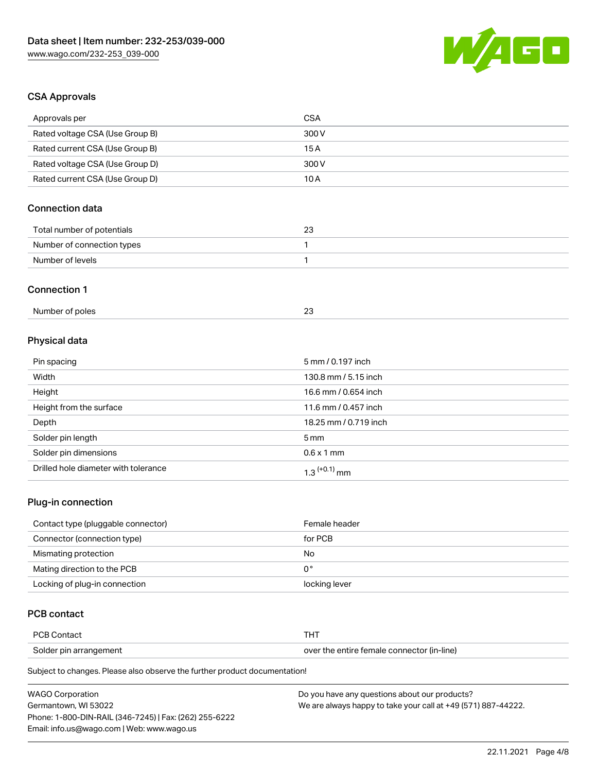

# CSA Approvals

| Approvals per                   | <b>CSA</b>            |  |
|---------------------------------|-----------------------|--|
| Rated voltage CSA (Use Group B) | 300V                  |  |
| Rated current CSA (Use Group B) | 15A                   |  |
| Rated voltage CSA (Use Group D) | 300V                  |  |
| Rated current CSA (Use Group D) | 10A                   |  |
| <b>Connection data</b>          |                       |  |
| Total number of potentials      | 23                    |  |
| Number of connection types      | 1                     |  |
| Number of levels                | $\mathbf{1}$          |  |
| <b>Connection 1</b>             |                       |  |
| Number of poles                 | 23                    |  |
| Physical data                   |                       |  |
| Pin spacing                     | 5 mm / 0.197 inch     |  |
| Width                           | 130.8 mm / 5.15 inch  |  |
| Height                          | 16.6 mm / 0.654 inch  |  |
| Height from the surface         | 11.6 mm / 0.457 inch  |  |
| Depth                           | 18.25 mm / 0.719 inch |  |
| Solder pin length               | 5 <sub>mm</sub>       |  |
| Solder pin dimensions           | $0.6 \times 1$ mm     |  |

# Drilled hole diameter with tolerance  $1.3$   $(+0.1)$  mm

# Plug-in connection

| Contact type (pluggable connector) | Female header |
|------------------------------------|---------------|
| Connector (connection type)        | for PCB       |
| Mismating protection               | No            |
| Mating direction to the PCB        | 0°            |
| Locking of plug-in connection      | locking lever |

# PCB contact

| <b>PCB Contact</b>     |                                            |
|------------------------|--------------------------------------------|
| Solder pin arrangement | over the entire female connector (in-line) |

Subject to changes. Please also observe the further product documentation!

| <b>WAGO Corporation</b>                                | Do you have any questions about our products?                 |
|--------------------------------------------------------|---------------------------------------------------------------|
| Germantown. WI 53022                                   | We are always happy to take your call at +49 (571) 887-44222. |
| Phone: 1-800-DIN-RAIL (346-7245)   Fax: (262) 255-6222 |                                                               |
| Email: info.us@wago.com   Web: www.wago.us             |                                                               |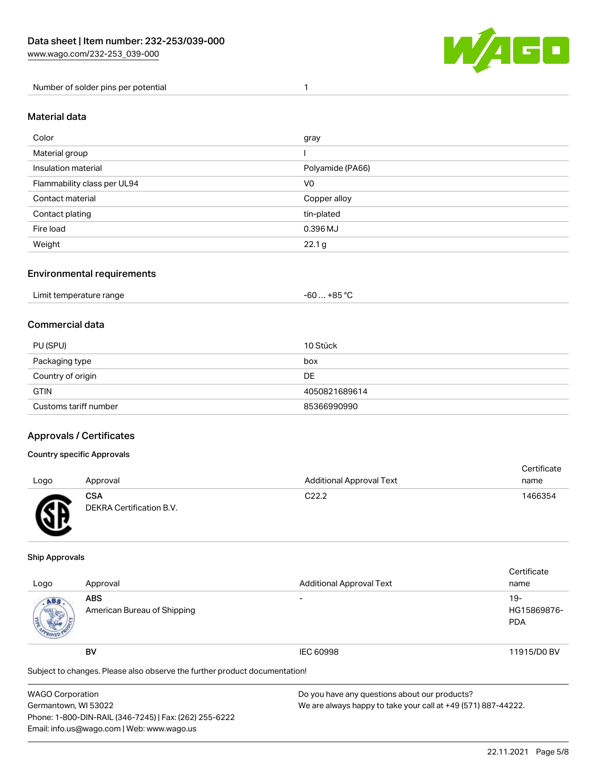

Number of solder pins per potential 1

#### Material data

| Color                       | gray             |
|-----------------------------|------------------|
| Material group              |                  |
| Insulation material         | Polyamide (PA66) |
| Flammability class per UL94 | V0               |
| Contact material            | Copper alloy     |
| Contact plating             | tin-plated       |
| Fire load                   | 0.396 MJ         |
| Weight                      | 22.1 g           |

## Environmental requirements

| Limit temperature range<br>. | … +85 ° <sup>∩</sup><br>-60 … |
|------------------------------|-------------------------------|
|------------------------------|-------------------------------|

## Commercial data

| PU (SPU)              | 10 Stück      |
|-----------------------|---------------|
| Packaging type        | box           |
| Country of origin     | <b>DE</b>     |
| <b>GTIN</b>           | 4050821689614 |
| Customs tariff number | 85366990990   |

## Approvals / Certificates

#### Country specific Approvals

| Logo | Approval                               | <b>Additional Approval Text</b> | Certificate<br>name |
|------|----------------------------------------|---------------------------------|---------------------|
| Æ    | <b>CSA</b><br>DEKRA Certification B.V. | C <sub>22.2</sub>               | 1466354             |

#### Ship Approvals

| Logo                                                                       | Approval                                  | <b>Additional Approval Text</b> | Certificate<br>name                |
|----------------------------------------------------------------------------|-------------------------------------------|---------------------------------|------------------------------------|
| ABS.                                                                       | <b>ABS</b><br>American Bureau of Shipping |                                 | $19-$<br>HG15869876-<br><b>PDA</b> |
|                                                                            | <b>BV</b>                                 | <b>IEC 60998</b>                | 11915/D0 BV                        |
| Subject to changes. Please also observe the further product documentation! |                                           |                                 |                                    |

| <b>WAGO Corporation</b>                                | Do you have any questions about our products?                 |
|--------------------------------------------------------|---------------------------------------------------------------|
| Germantown, WI 53022                                   | We are always happy to take your call at +49 (571) 887-44222. |
| Phone: 1-800-DIN-RAIL (346-7245)   Fax: (262) 255-6222 |                                                               |
| Email: info.us@wago.com   Web: www.wago.us             |                                                               |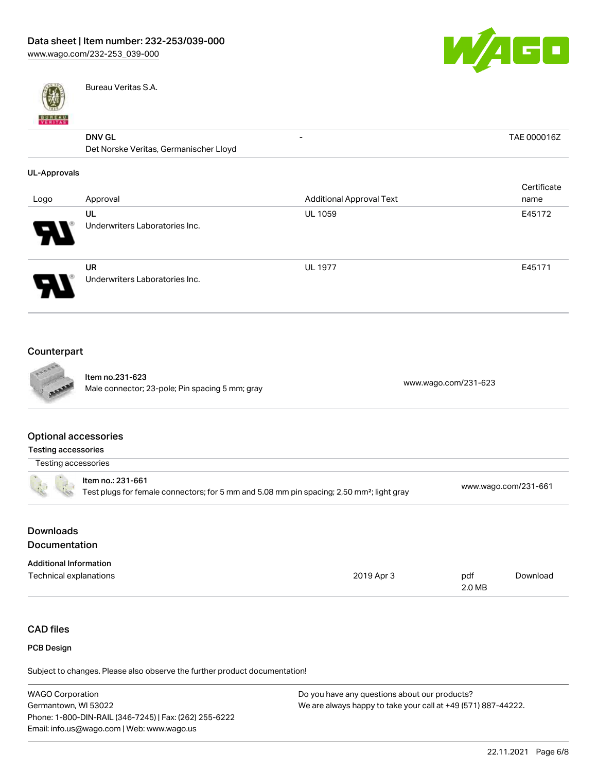

- TAE 000016Z



Bureau Veritas S.A.

# $\overline{DNN}$  GL

| <b>DNV GL</b>                          |  |
|----------------------------------------|--|
| Det Norske Veritas, Germanischer Lloyd |  |

#### UL-Approvals

| Logo | Approval                             | <b>Additional Approval Text</b> | Certificate<br>name |
|------|--------------------------------------|---------------------------------|---------------------|
| 8    | UL<br>Underwriters Laboratories Inc. | <b>UL 1059</b>                  | E45172              |
|      | UR<br>Underwriters Laboratories Inc. | <b>UL 1977</b>                  | E45171              |

# Counterpart



Item no.231-623 Nale connector; 23-pole; Pin spacing 5 mm; gray [www.wago.com/231-623](https://www.wago.com/231-623)<br>Male connector; 23-pole; Pin spacing 5 mm; gray

#### Optional accessories

| Testing accessories                                                                                                        |                      |
|----------------------------------------------------------------------------------------------------------------------------|----------------------|
| Testing accessories                                                                                                        |                      |
| ltem no.: 231-661<br>Test plugs for female connectors; for 5 mm and 5.08 mm pin spacing; 2,50 mm <sup>2</sup> ; light gray | www.wago.com/231-661 |
|                                                                                                                            |                      |

# Downloads **Documentation**

| <b>Additional Information</b> |            |        |          |
|-------------------------------|------------|--------|----------|
| Technical explanations        | 2019 Apr 3 | pdf    | Download |
|                               |            | 2.0 MB |          |

# CAD files

#### PCB Design

Subject to changes. Please also observe the further product documentation!

| <b>WAGO Corporation</b>                                | Do you have any questions about our products?                 |
|--------------------------------------------------------|---------------------------------------------------------------|
| Germantown. WI 53022                                   | We are always happy to take your call at +49 (571) 887-44222. |
| Phone: 1-800-DIN-RAIL (346-7245)   Fax: (262) 255-6222 |                                                               |
| Email: info.us@wago.com   Web: www.wago.us             |                                                               |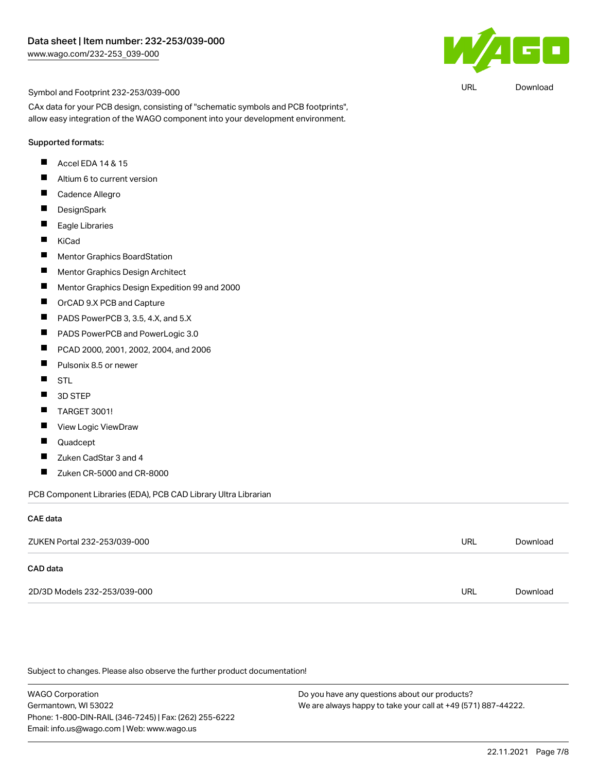

URL [Download](https://www.wago.com/global/d/UltraLibrarian_URLS_232-253_039-000)

#### Symbol and Footprint 232-253/039-000

CAx data for your PCB design, consisting of "schematic symbols and PCB footprints", allow easy integration of the WAGO component into your development environment.

#### Supported formats:

- $\blacksquare$ Accel EDA 14 & 15
- П Altium 6 to current version
- $\blacksquare$ Cadence Allegro
- $\blacksquare$ **DesignSpark**
- $\blacksquare$ Eagle Libraries
- $\blacksquare$ KiCad
- $\blacksquare$ Mentor Graphics BoardStation
- $\blacksquare$ Mentor Graphics Design Architect
- $\blacksquare$ Mentor Graphics Design Expedition 99 and 2000
- $\blacksquare$ OrCAD 9.X PCB and Capture
- $\blacksquare$ PADS PowerPCB 3, 3.5, 4.X, and 5.X
- $\blacksquare$ PADS PowerPCB and PowerLogic 3.0
- $\blacksquare$ PCAD 2000, 2001, 2002, 2004, and 2006
- $\blacksquare$ Pulsonix 8.5 or newer
- $\blacksquare$ STL
- $\blacksquare$ 3D STEP
- $\blacksquare$ TARGET 3001!
- $\blacksquare$ View Logic ViewDraw
- $\blacksquare$ Quadcept
- $\blacksquare$ Zuken CadStar 3 and 4
- $\blacksquare$ Zuken CR-5000 and CR-8000

PCB Component Libraries (EDA), PCB CAD Library Ultra Librarian

#### CAE data

| ZUKEN Portal 232-253/039-000 | URL | Download |
|------------------------------|-----|----------|
| CAD data                     |     |          |
| 2D/3D Models 232-253/039-000 | URL | Download |

Subject to changes. Please also observe the further product documentation!

WAGO Corporation Germantown, WI 53022 Phone: 1-800-DIN-RAIL (346-7245) | Fax: (262) 255-6222 Email: info.us@wago.com | Web: www.wago.us